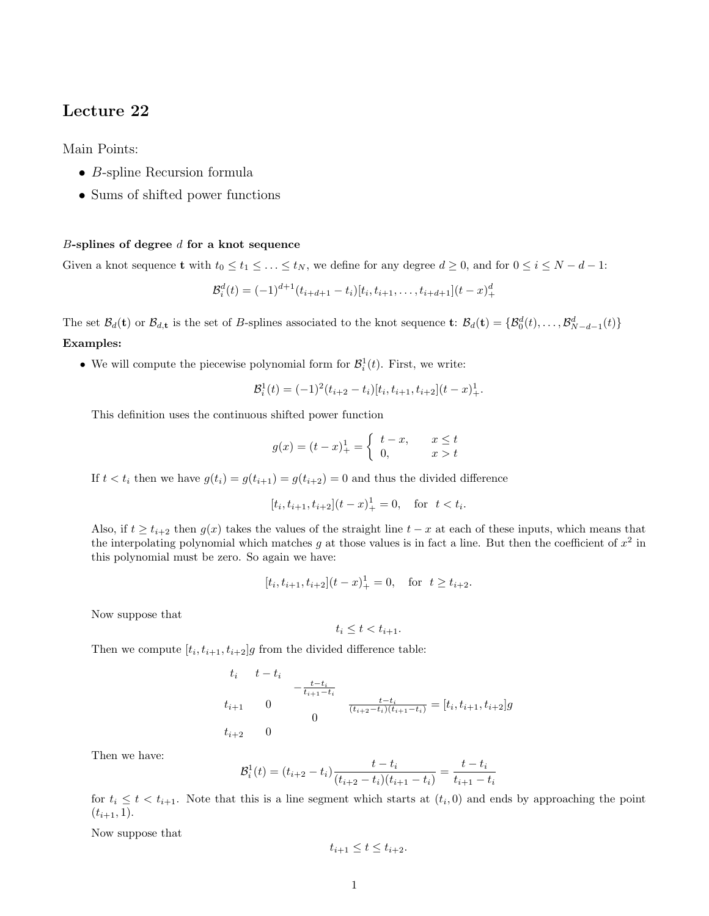# Lecture 22

Main Points:

- B-spline Recursion formula
- Sums of shifted power functions

### B-splines of degree  $d$  for a knot sequence

Given a knot sequence **t** with  $t_0 \le t_1 \le \ldots \le t_N$ , we define for any degree  $d \ge 0$ , and for  $0 \le i \le N - d - 1$ :

$$
\mathcal{B}_i^d(t) = (-1)^{d+1} (t_{i+d+1} - t_i)[t_i, t_{i+1}, \dots, t_{i+d+1}](t-x)_+^d
$$

The set  $\mathcal{B}_d(\mathbf{t})$  or  $\mathcal{B}_{d,\mathbf{t}}$  is the set of B-splines associated to the knot sequence  $\mathbf{t}$ :  $\mathcal{B}_d(\mathbf{t}) = {\mathcal{B}_0^d(t), \ldots, \mathcal{B}_{N-d-1}^d(t)}$ Examples:

• We will compute the piecewise polynomial form for  $\mathcal{B}_i^1(t)$ . First, we write:

$$
\mathcal{B}_i^1(t) = (-1)^2(t_{i+2} - t_i)[t_i, t_{i+1}, t_{i+2}](t - x)_{+}^1.
$$

This definition uses the continuous shifted power function

$$
g(x) = (t - x)^{1}_{+} = \begin{cases} t - x, & x \leq t \\ 0, & x > t \end{cases}
$$

If  $t < t_i$  then we have  $g(t_i) = g(t_{i+1}) = g(t_{i+2}) = 0$  and thus the divided difference

$$
[t_i, t_{i+1}, t_{i+2}](t-x)_+^1 = 0
$$
, for  $t < t_i$ .

Also, if  $t \geq t_{i+2}$  then  $g(x)$  takes the values of the straight line  $t - x$  at each of these inputs, which means that the interpolating polynomial which matches g at those values is in fact a line. But then the coefficient of  $x^2$  in this polynomial must be zero. So again we have:

$$
[t_i, t_{i+1}, t_{i+2}](t-x)_{+}^{1} = 0
$$
, for  $t \ge t_{i+2}$ .

Now suppose that

$$
t_i \le t < t_{i+1}.
$$

Then we compute  $[t_i, t_{i+1}, t_{i+2}]$  from the divided difference table:

$$
t_i \t t - t_i
$$
  
\n
$$
t_{i+1} \t 0
$$
  
\n
$$
t_{i+2} \t 0
$$
  
\n
$$
t_{i+2} \t 0
$$
  
\n
$$
t_{i+3} \t \frac{t - t_i}{(t_{i+2} - t_i)(t_{i+1} - t_i)} = [t_i, t_{i+1}, t_{i+2}]g
$$

Then we have:

$$
\mathcal{B}_i^1(t) = (t_{i+2} - t_i) \frac{t - t_i}{(t_{i+2} - t_i)(t_{i+1} - t_i)} = \frac{t - t_i}{t_{i+1} - t_i}
$$

for  $t_i \leq t < t_{i+1}$ . Note that this is a line segment which starts at  $(t_i, 0)$  and ends by approaching the point  $(t_{i+1}, 1).$ 

Now suppose that

$$
t_{i+1} \leq t \leq t_{i+2}.
$$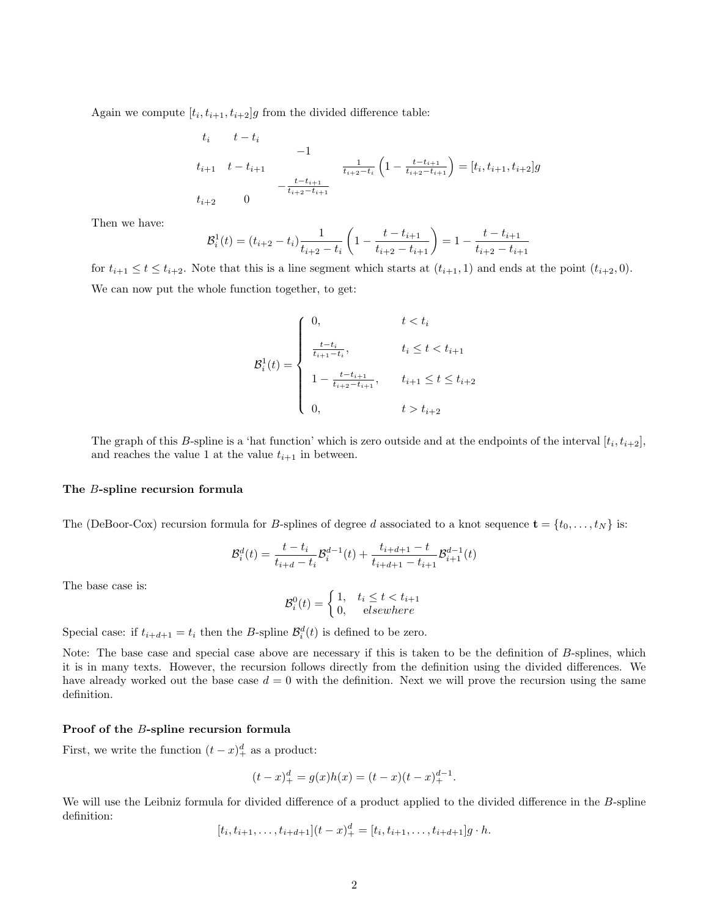Again we compute  $[t_i, t_{i+1}, t_{i+2}]$  from the divided difference table:

$$
t_{i} \t t - t_{i}
$$
  
\n
$$
t_{i+1} \t t - t_{i+1}
$$
  
\n
$$
-1
$$
  
\n
$$
t_{i+2} \t t_{i+1}
$$
  
\n
$$
-t_{i+2} \t \frac{1}{t_{i+2} - t_{i}}
$$
  
\n
$$
\left(1 - \frac{t - t_{i+1}}{t_{i+2} - t_{i+1}}\right) = [t_{i}, t_{i+1}, t_{i+2}]g
$$
  
\n
$$
t_{i+2} \t 0
$$

Then we have:

$$
\mathcal{B}_i^1(t) = (t_{i+2} - t_i) \frac{1}{t_{i+2} - t_i} \left( 1 - \frac{t - t_{i+1}}{t_{i+2} - t_{i+1}} \right) = 1 - \frac{t - t_{i+1}}{t_{i+2} - t_{i+1}}
$$

for  $t_{i+1} \leq t \leq t_{i+2}$ . Note that this is a line segment which starts at  $(t_{i+1}, 1)$  and ends at the point  $(t_{i+2}, 0)$ . We can now put the whole function together, to get:

$$
\mathcal{B}_i^1(t) = \begin{cases}\n0, & t < t_i \\
\frac{t - t_i}{t_{i+1} - t_i}, & t_i \le t < t_{i+1} \\
1 - \frac{t - t_{i+1}}{t_{i+2} - t_{i+1}}, & t_{i+1} \le t \le t_{i+2} \\
0, & t > t_{i+2}\n\end{cases}
$$

The graph of this B-spline is a 'hat function' which is zero outside and at the endpoints of the interval  $[t_i, t_{i+2}]$ , and reaches the value 1 at the value  $t_{i+1}$  in between.

#### The B-spline recursion formula

The (DeBoor-Cox) recursion formula for B-splines of degree d associated to a knot sequence  $\mathbf{t} = \{t_0, \ldots, t_N\}$  is:

$$
\mathcal{B}^{d}_{i}(t)=\frac{t-t_{i}}{t_{i+d}-t_{i}}\mathcal{B}^{d-1}_{i}(t)+\frac{t_{i+d+1}-t}{t_{i+d+1}-t_{i+1}}\mathcal{B}^{d-1}_{i+1}(t)
$$

The base case is:

$$
\mathcal{B}_i^0(t) = \begin{cases} 1, & t_i \le t < t_{i+1} \\ 0, & \text{elsewhere} \end{cases}
$$

Special case: if  $t_{i+d+1} = t_i$  then the B-spline  $\mathcal{B}_i^d(t)$  is defined to be zero.

Note: The base case and special case above are necessary if this is taken to be the definition of B-splines, which it is in many texts. However, the recursion follows directly from the definition using the divided differences. We have already worked out the base case  $d = 0$  with the definition. Next we will prove the recursion using the same definition.

#### Proof of the B-spline recursion formula

First, we write the function  $(t-x)^d_+$  as a product:

$$
(t-x)_{+}^{d} = g(x)h(x) = (t-x)(t-x)_{+}^{d-1}.
$$

We will use the Leibniz formula for divided difference of a product applied to the divided difference in the B-spline definition:

$$
[t_i, t_{i+1}, \dots, t_{i+d+1}](t-x)_{+}^{d} = [t_i, t_{i+1}, \dots, t_{i+d+1}]g \cdot h.
$$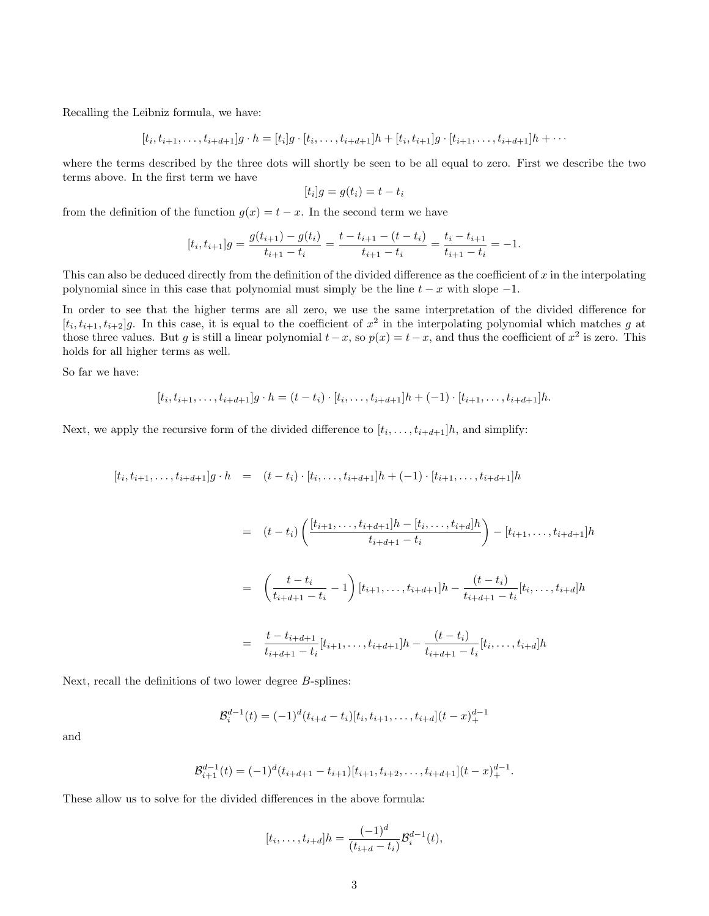Recalling the Leibniz formula, we have:

$$
[t_i, t_{i+1}, \ldots, t_{i+d+1}]g \cdot h = [t_i]g \cdot [t_i, \ldots, t_{i+d+1}]h + [t_i, t_{i+1}]g \cdot [t_{i+1}, \ldots, t_{i+d+1}]h + \cdots
$$

where the terms described by the three dots will shortly be seen to be all equal to zero. First we describe the two terms above. In the first term we have

$$
[t_i]g = g(t_i) = t - t_i
$$

from the definition of the function  $g(x) = t - x$ . In the second term we have

$$
[t_i, t_{i+1}]g = \frac{g(t_{i+1}) - g(t_i)}{t_{i+1} - t_i} = \frac{t - t_{i+1} - (t - t_i)}{t_{i+1} - t_i} = \frac{t_i - t_{i+1}}{t_{i+1} - t_i} = -1.
$$

This can also be deduced directly from the definition of the divided difference as the coefficient of  $x$  in the interpolating polynomial since in this case that polynomial must simply be the line  $t - x$  with slope  $-1$ .

In order to see that the higher terms are all zero, we use the same interpretation of the divided difference for  $[t_i, t_{i+1}, t_{i+2}]$ g. In this case, it is equal to the coefficient of  $x^2$  in the interpolating polynomial which matches g at those three values. But g is still a linear polynomial  $t-x$ , so  $p(x) = t-x$ , and thus the coefficient of  $x^2$  is zero. This holds for all higher terms as well.

So far we have:

$$
[t_i, t_{i+1}, \ldots, t_{i+d+1}]g \cdot h = (t - t_i) \cdot [t_i, \ldots, t_{i+d+1}]h + (-1) \cdot [t_{i+1}, \ldots, t_{i+d+1}]h.
$$

Next, we apply the recursive form of the divided difference to  $[t_i, \ldots, t_{i+d+1}]h$ , and simplify:

$$
[t_i, t_{i+1}, \dots, t_{i+d+1}]g \cdot h = (t-t_i) \cdot [t_i, \dots, t_{i+d+1}]h + (-1) \cdot [t_{i+1}, \dots, t_{i+d+1}]h
$$

$$
= (t - t_i) \left( \frac{[t_{i+1}, \dots, t_{i+d+1}]h - [t_i, \dots, t_{i+d}]h}{t_{i+d+1} - t_i} \right) - [t_{i+1}, \dots, t_{i+d+1}]h
$$

$$
= \left( \frac{t - t_i}{t_{i+d+1} - t_i} - 1 \right) [t_{i+1}, \dots, t_{i+d+1}]h - \frac{(t - t_i)}{t_{i+d+1} - t_i} [t_i, \dots, t_{i+d}]h
$$

$$
= \frac{t - t_{i+d+1}}{t_{i+d+1} - t_i} [t_{i+1}, \dots, t_{i+d+1}]h - \frac{(t - t_i)}{t_{i+d+1} - t_i} [t_i, \dots, t_{i+d}]h
$$

Next, recall the definitions of two lower degree B-splines:

$$
\mathcal{B}_i^{d-1}(t) = (-1)^d (t_{i+d} - t_i)[t_i, t_{i+1}, \dots, t_{i+d}](t-x)_{+}^{d-1}
$$

and

$$
\mathcal{B}_{i+1}^{d-1}(t) = (-1)^d (t_{i+d+1} - t_{i+1}) [t_{i+1}, t_{i+2}, \dots, t_{i+d+1}] (t-x)_{+}^{d-1}.
$$

These allow us to solve for the divided differences in the above formula:

$$
[t_i, \ldots, t_{i+d}]h = \frac{(-1)^d}{(t_{i+d} - t_i)} \mathcal{B}_i^{d-1}(t),
$$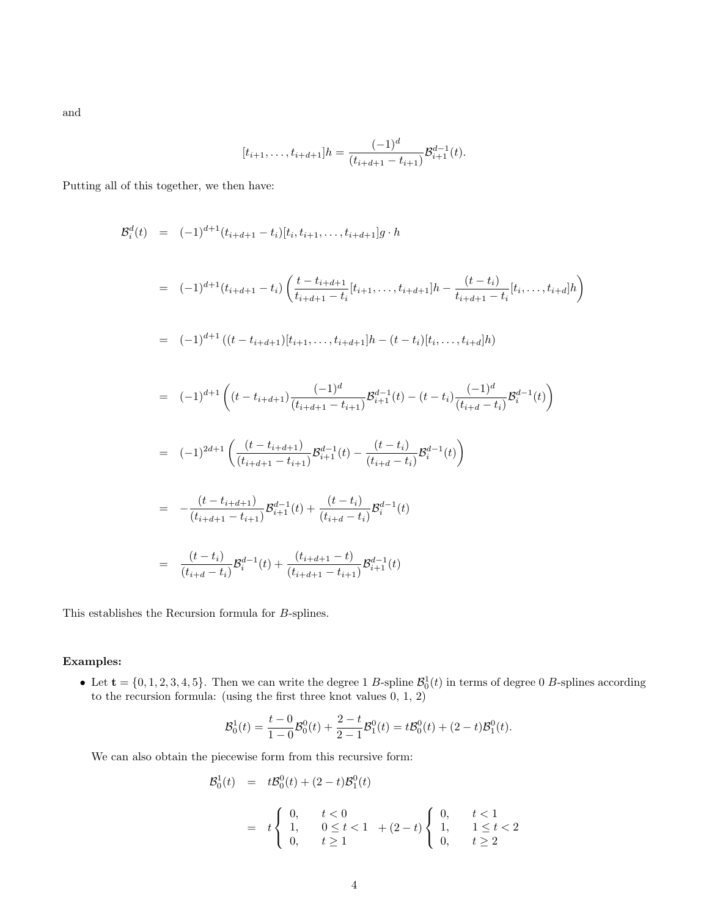and

$$
[t_{i+1},\ldots,t_{i+d+1}]h = \frac{(-1)^d}{(t_{i+d+1}-t_{i+1})}\mathcal{B}_{i+1}^{d-1}(t).
$$

Putting all of this together, we then have:

$$
\mathcal{B}_{i}^{d}(t) = (-1)^{d+1} (t_{i+d+1} - t_{i}) [t_{i}, t_{i+1}, \dots, t_{i+d+1}] g \cdot h
$$
\n
$$
= (-1)^{d+1} (t_{i+d+1} - t_{i}) \left( \frac{t - t_{i+d+1}}{t_{i+d+1} - t_{i}} [t_{i+1}, \dots, t_{i+d+1}] h - \frac{(t - t_{i})}{t_{i+d+1} - t_{i}} [t_{i}, \dots, t_{i+d}] h \right)
$$
\n
$$
= (-1)^{d+1} \left( (t - t_{i+d+1}) [t_{i+1}, \dots, t_{i+d+1}] h - (t - t_{i}) [t_{i}, \dots, t_{i+d}] h \right)
$$
\n
$$
= (-1)^{d+1} \left( (t - t_{i+d+1}) \frac{(-1)^{d}}{(t_{i+d+1} - t_{i+1})} \mathcal{B}_{i+1}^{d-1}(t) - (t - t_{i}) \frac{(-1)^{d}}{(t_{i+d} - t_{i})} \mathcal{B}_{i}^{d-1}(t) \right)
$$
\n
$$
= (-1)^{2d+1} \left( \frac{(t - t_{i+d+1})}{(t_{i+d+1} - t_{i+1})} \mathcal{B}_{i+1}^{d-1}(t) - \frac{(t - t_{i})}{(t_{i+d} - t_{i})} \mathcal{B}_{i}^{d-1}(t) \right)
$$
\n
$$
= -\frac{(t - t_{i+d+1})}{(t_{i+d+1} - t_{i+1})} \mathcal{B}_{i+1}^{d-1}(t) + \frac{(t - t_{i})}{(t_{i+d} - t_{i})} \mathcal{B}_{i}^{d-1}(t)
$$
\n
$$
= \frac{(t - t_{i})}{(t_{i+d} - t_{i})} \mathcal{B}_{i}^{d-1}(t) + \frac{(t_{i+d+1} - t_{i})}{(t_{i+d+1} - t_{i+1})} \mathcal{B}_{i+1}^{d-1}(t)
$$

This establishes the Recursion formula for B-splines.

## Examples:

• Let  $\mathbf{t} = \{0, 1, 2, 3, 4, 5\}$ . Then we can write the degree 1 B-spline  $\mathcal{B}_0^1(t)$  in terms of degree 0 B-splines according to the recursion formula: (using the first three knot values 0, 1, 2)

$$
\mathcal{B}_0^1(t) = \frac{t-0}{1-0} \mathcal{B}_0^0(t) + \frac{2-t}{2-1} \mathcal{B}_1^0(t) = t \mathcal{B}_0^0(t) + (2-t) \mathcal{B}_1^0(t).
$$

We can also obtain the piecewise form from this recursive form:

$$
\mathcal{B}_0^1(t) = t\mathcal{B}_0^0(t) + (2-t)\mathcal{B}_1^0(t)
$$
  
=  $t \begin{cases} 0, & t < 0 \\ 1, & 0 \le t < 1 \\ 0, & t \ge 1 \end{cases} + (2-t) \begin{cases} 0, & t < 1 \\ 1, & 1 \le t < 2 \\ 0, & t \ge 2 \end{cases}$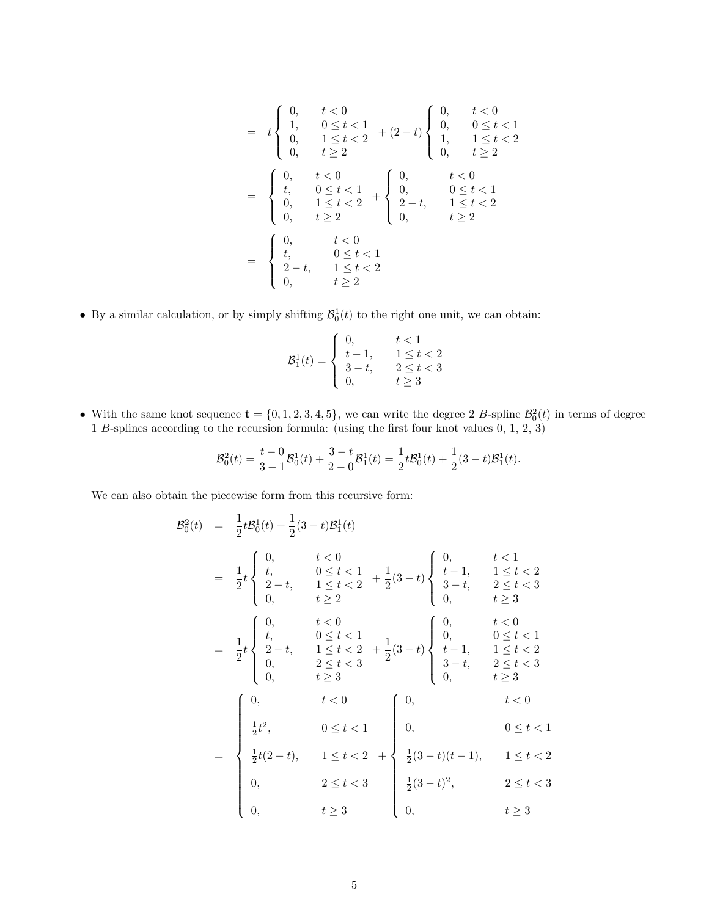$$
= t \begin{cases} 0, & t < 0 \\ 1, & 0 \le t < 1 \\ 0, & 1 \le t < 2 \\ 0, & t \ge 2 \end{cases} + (2 - t) \begin{cases} 0, & t < 0 \\ 0, & 0 \le t < 1 \\ 1, & 1 \le t < 2 \\ 0, & t \ge 2 \end{cases}
$$
\n
$$
= \begin{cases} 0, & t < 0 \\ t, & 0 \le t < 1 \\ 0, & 1 \le t < 2 \\ 0, & t \ge 2 \end{cases} + \begin{cases} 0, & t < 0 \\ 0, & 0 \le t < 1 \\ 2 - t, & 1 \le t < 2 \\ 0, & t \ge 2 \end{cases}
$$
\n
$$
= \begin{cases} 0, & t < 0 \\ t, & 0 \le t < 1 \\ 2 - t, & 1 \le t < 2 \\ 0, & t \ge 2 \end{cases}
$$

• By a similar calculation, or by simply shifting  $\mathcal{B}_0^1(t)$  to the right one unit, we can obtain:

$$
\mathcal{B}_1^1(t) = \begin{cases} 0, & t < 1 \\ t - 1, & 1 \le t < 2 \\ 3 - t, & 2 \le t < 3 \\ 0, & t \ge 3 \end{cases}
$$

• With the same knot sequence  $\mathbf{t} = \{0, 1, 2, 3, 4, 5\}$ , we can write the degree 2 B-spline  $\mathcal{B}_0^2(t)$  in terms of degree 1 B-splines according to the recursion formula: (using the first four knot values 0, 1, 2, 3)

$$
\mathcal{B}_0^2(t) = \frac{t-0}{3-1}\mathcal{B}_0^1(t) + \frac{3-t}{2-0}\mathcal{B}_1^1(t) = \frac{1}{2}t\mathcal{B}_0^1(t) + \frac{1}{2}(3-t)\mathcal{B}_1^1(t).
$$

We can also obtain the piecewise form from this recursive form:

$$
\mathcal{B}_0^2(t) = \frac{1}{2}t\mathcal{B}_0^1(t) + \frac{1}{2}(3-t)\mathcal{B}_1^1(t)
$$
  
\n
$$
= \frac{1}{2}t\begin{cases}\nt, & 0 \le t < 1 \\
t, & 0 \le t < 1 \\
2-t, & 1 \le t < 2\n\end{cases} + \frac{1}{2}(3-t)\begin{cases}\n0, & t < 1 \\
t-1, & 1 \le t < 2 \\
3-t, & 2 \le t < 3\n\end{cases}
$$
  
\n
$$
= \frac{1}{2}t\begin{cases}\n0, & t < 0 \\
t, & 0 \le t < 1 \\
2-t, & 1 \le t < 2\n\end{cases} + \frac{1}{2}(3-t)\begin{cases}\n0, & t < 0 \\
0, & 0 \le t < 1 \\
t-1, & 1 \le t < 2 \\
3-t, & 2 \le t < 3\n\end{cases}
$$
  
\n
$$
= \begin{cases}\n0, & t < 0 \\
0, & t \ge 3\n\end{cases}
$$
  
\n
$$
\begin{cases}\n0, & t < 0 \\
0, & t \ge 3\n\end{cases}
$$
  
\n
$$
= \begin{cases}\n0, & t < 0 \\
\frac{1}{2}t^2, & 0 \le t < 1 \\
\frac{1}{2}t(2-t), & 1 \le t < 2\n\end{cases} + \begin{cases}\n0, & t < 0 \\
0, & t < 0 \\
\frac{1}{2}(3-t)(t-1), & 1 \le t < 2 \\
0, & t \ge 3\n\end{cases}
$$
  
\n
$$
= \begin{cases}\n0, & t < 0 \\
\frac{1}{2}t(2-t), & 1 \le t < 2 + \begin{cases}\n0, & 0 \le t < 1 \\
\frac{1}{2}(3-t)(t-1), & 1 \le t < 2 \\
\frac{1}{2}(3-t)^2, & 2 \le t < 3 \\
0, & t \ge 3\n\end{cases}
$$